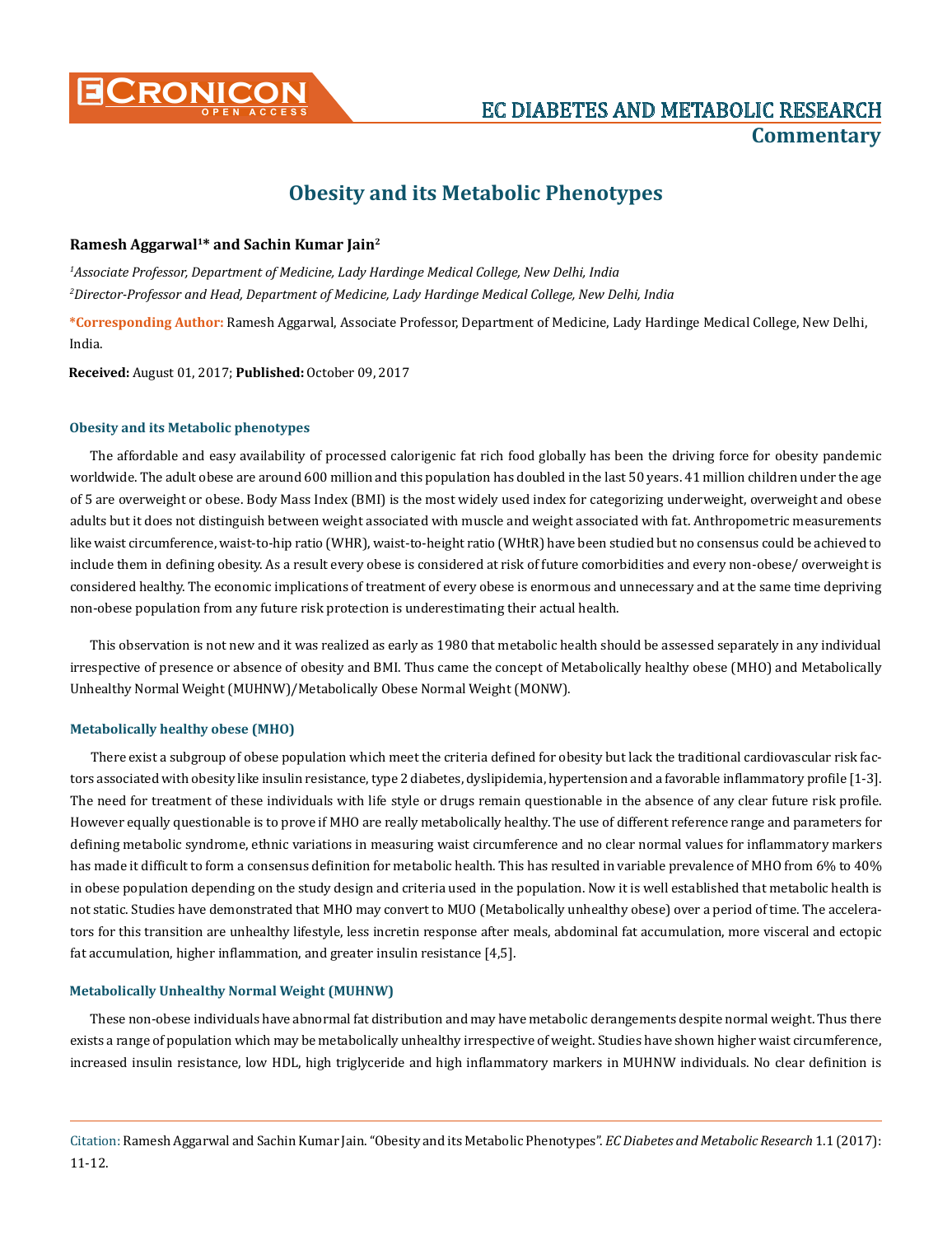

# **Obesity and its Metabolic Phenotypes**

# **Ramesh Aggarwal1\* and Sachin Kumar Jain2**

*1 Associate Professor, Department of Medicine, Lady Hardinge Medical College, New Delhi, India 2 Director-Professor and Head, Department of Medicine, Lady Hardinge Medical College, New Delhi, India*

**\*Corresponding Author:** Ramesh Aggarwal, Associate Professor, Department of Medicine, Lady Hardinge Medical College, New Delhi, India.

**Received:** August 01, 2017; **Published:** October 09, 2017

### **Obesity and its Metabolic phenotypes**

The affordable and easy availability of processed calorigenic fat rich food globally has been the driving force for obesity pandemic worldwide. The adult obese are around 600 million and this population has doubled in the last 50 years. 41 million children under the age of 5 are overweight or obese. Body Mass Index (BMI) is the most widely used index for categorizing underweight, overweight and obese adults but it does not distinguish between weight associated with muscle and weight associated with fat. Anthropometric measurements like waist circumference, waist-to-hip ratio (WHR), waist-to-height ratio (WHtR) have been studied but no consensus could be achieved to include them in defining obesity. As a result every obese is considered at risk of future comorbidities and every non-obese/ overweight is considered healthy. The economic implications of treatment of every obese is enormous and unnecessary and at the same time depriving non-obese population from any future risk protection is underestimating their actual health.

This observation is not new and it was realized as early as 1980 that metabolic health should be assessed separately in any individual irrespective of presence or absence of obesity and BMI. Thus came the concept of Metabolically healthy obese (MHO) and Metabolically Unhealthy Normal Weight (MUHNW)/Metabolically Obese Normal Weight (MONW).

## **Metabolically healthy obese (MHO)**

There exist a subgroup of obese population which meet the criteria defined for obesity but lack the traditional cardiovascular risk factors associated with obesity like insulin resistance, type 2 diabetes, dyslipidemia, hypertension and a favorable inflammatory profile [1-3]. The need for treatment of these individuals with life style or drugs remain questionable in the absence of any clear future risk profile. However equally questionable is to prove if MHO are really metabolically healthy. The use of different reference range and parameters for defining metabolic syndrome, ethnic variations in measuring waist circumference and no clear normal values for inflammatory markers has made it difficult to form a consensus definition for metabolic health. This has resulted in variable prevalence of MHO from 6% to 40% in obese population depending on the study design and criteria used in the population. Now it is well established that metabolic health is not static. Studies have demonstrated that MHO may convert to MUO (Metabolically unhealthy obese) over a period of time. The accelerators for this transition are unhealthy lifestyle, less incretin response after meals, abdominal fat accumulation, more visceral and ectopic fat accumulation, higher inflammation, and greater insulin resistance [4,5].

#### **Metabolically Unhealthy Normal Weight (MUHNW)**

These non-obese individuals have abnormal fat distribution and may have metabolic derangements despite normal weight. Thus there exists a range of population which may be metabolically unhealthy irrespective of weight. Studies have shown higher waist circumference, increased insulin resistance, low HDL, high triglyceride and high inflammatory markers in MUHNW individuals. No clear definition is